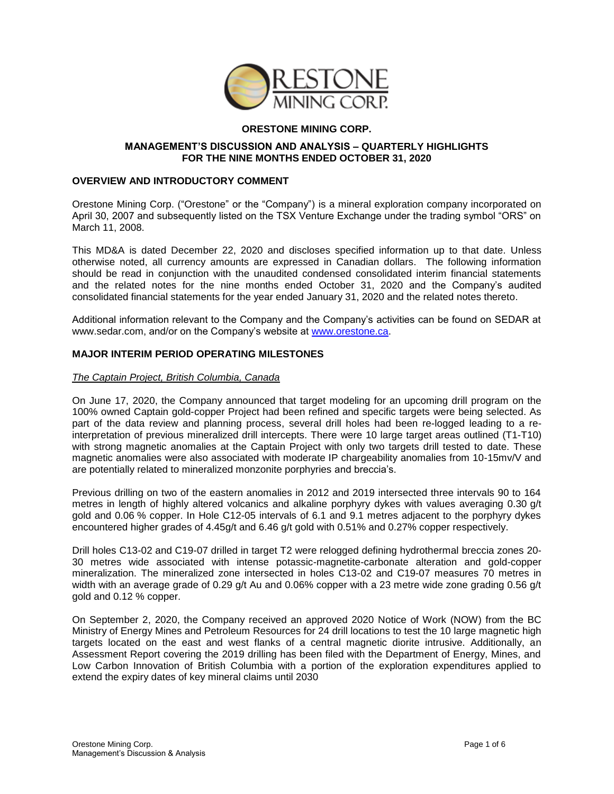

# **ORESTONE MINING CORP.**

### **MANAGEMENT'S DISCUSSION AND ANALYSIS – QUARTERLY HIGHLIGHTS FOR THE NINE MONTHS ENDED OCTOBER 31, 2020**

### **OVERVIEW AND INTRODUCTORY COMMENT**

Orestone Mining Corp. ("Orestone" or the "Company") is a mineral exploration company incorporated on April 30, 2007 and subsequently listed on the TSX Venture Exchange under the trading symbol "ORS" on March 11, 2008.

This MD&A is dated December 22, 2020 and discloses specified information up to that date. Unless otherwise noted, all currency amounts are expressed in Canadian dollars. The following information should be read in conjunction with the unaudited condensed consolidated interim financial statements and the related notes for the nine months ended October 31, 2020 and the Company's audited consolidated financial statements for the year ended January 31, 2020 and the related notes thereto.

Additional information relevant to the Company and the Company's activities can be found on SEDAR at [www.sedar.com,](http://www.sedar.com/) and/or on the Company's website at [www.orestone.ca.](http://www.orestone.ca/)

### **MAJOR INTERIM PERIOD OPERATING MILESTONES**

#### *The Captain Project, British Columbia, Canada*

On June 17, 2020, the Company announced that target modeling for an upcoming drill program on the 100% owned Captain gold-copper Project had been refined and specific targets were being selected. As part of the data review and planning process, several drill holes had been re-logged leading to a reinterpretation of previous mineralized drill intercepts. There were 10 large target areas outlined (T1-T10) with strong magnetic anomalies at the Captain Project with only two targets drill tested to date. These magnetic anomalies were also associated with moderate IP chargeability anomalies from 10-15mv/V and are potentially related to mineralized monzonite porphyries and breccia's.

Previous drilling on two of the eastern anomalies in 2012 and 2019 intersected three intervals 90 to 164 metres in length of highly altered volcanics and alkaline porphyry dykes with values averaging 0.30 g/t gold and 0.06 % copper. In Hole C12-05 intervals of 6.1 and 9.1 metres adjacent to the porphyry dykes encountered higher grades of 4.45g/t and 6.46 g/t gold with 0.51% and 0.27% copper respectively.

Drill holes C13-02 and C19-07 drilled in target T2 were relogged defining hydrothermal breccia zones 20- 30 metres wide associated with intense potassic-magnetite-carbonate alteration and gold-copper mineralization. The mineralized zone intersected in holes C13-02 and C19-07 measures 70 metres in width with an average grade of 0.29 g/t Au and 0.06% copper with a 23 metre wide zone grading 0.56 g/t gold and 0.12 % copper.

On September 2, 2020, the Company received an approved 2020 Notice of Work (NOW) from the BC Ministry of Energy Mines and Petroleum Resources for 24 drill locations to test the 10 large magnetic high targets located on the east and west flanks of a central magnetic diorite intrusive. Additionally, an Assessment Report covering the 2019 drilling has been filed with the Department of Energy, Mines, and Low Carbon Innovation of British Columbia with a portion of the exploration expenditures applied to extend the expiry dates of key mineral claims until 2030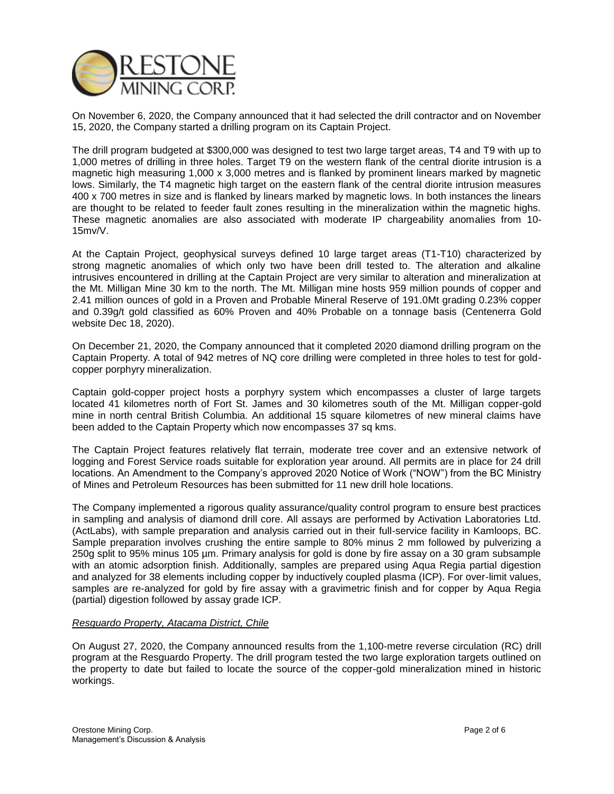

On November 6, 2020, the Company announced that it had selected the drill contractor and on November 15, 2020, the Company started a drilling program on its Captain Project.

The drill program budgeted at \$300,000 was designed to test two large target areas, T4 and T9 with up to 1,000 metres of drilling in three holes. Target T9 on the western flank of the central diorite intrusion is a magnetic high measuring 1,000 x 3,000 metres and is flanked by prominent linears marked by magnetic lows. Similarly, the T4 magnetic high target on the eastern flank of the central diorite intrusion measures 400 x 700 metres in size and is flanked by linears marked by magnetic lows. In both instances the linears are thought to be related to feeder fault zones resulting in the mineralization within the magnetic highs. These magnetic anomalies are also associated with moderate IP chargeability anomalies from 10- 15mv/V.

At the Captain Project, geophysical surveys defined 10 large target areas (T1-T10) characterized by strong magnetic anomalies of which only two have been drill tested to. The alteration and alkaline intrusives encountered in drilling at the Captain Project are very similar to alteration and mineralization at the Mt. Milligan Mine 30 km to the north. The Mt. Milligan mine hosts 959 million pounds of copper and 2.41 million ounces of gold in a Proven and Probable Mineral Reserve of 191.0Mt grading 0.23% copper and 0.39g/t gold classified as 60% Proven and 40% Probable on a tonnage basis (Centenerra Gold website Dec 18, 2020).

On December 21, 2020, the Company announced that it completed 2020 diamond drilling program on the Captain Property. A total of 942 metres of NQ core drilling were completed in three holes to test for goldcopper porphyry mineralization.

Captain gold-copper project hosts a porphyry system which encompasses a cluster of large targets located 41 kilometres north of Fort St. James and 30 kilometres south of the Mt. Milligan copper-gold mine in north central British Columbia. An additional 15 square kilometres of new mineral claims have been added to the Captain Property which now encompasses 37 sq kms.

The Captain Project features relatively flat terrain, moderate tree cover and an extensive network of logging and Forest Service roads suitable for exploration year around. All permits are in place for 24 drill locations. An Amendment to the Company's approved 2020 Notice of Work ("NOW") from the BC Ministry of Mines and Petroleum Resources has been submitted for 11 new drill hole locations.

The Company implemented a rigorous quality assurance/quality control program to ensure best practices in sampling and analysis of diamond drill core. All assays are performed by Activation Laboratories Ltd. (ActLabs), with sample preparation and analysis carried out in their full-service facility in Kamloops, BC. Sample preparation involves crushing the entire sample to 80% minus 2 mm followed by pulverizing a 250g split to 95% minus 105 µm. Primary analysis for gold is done by fire assay on a 30 gram subsample with an atomic adsorption finish. Additionally, samples are prepared using Aqua Regia partial digestion and analyzed for 38 elements including copper by inductively coupled plasma (ICP). For over-limit values, samples are re-analyzed for gold by fire assay with a gravimetric finish and for copper by Aqua Regia (partial) digestion followed by assay grade ICP.

# *Resguardo Property, Atacama District, Chile*

On August 27, 2020, the Company announced results from the 1,100-metre reverse circulation (RC) drill program at the Resguardo Property. The drill program tested the two large exploration targets outlined on the property to date but failed to locate the source of the copper-gold mineralization mined in historic workings.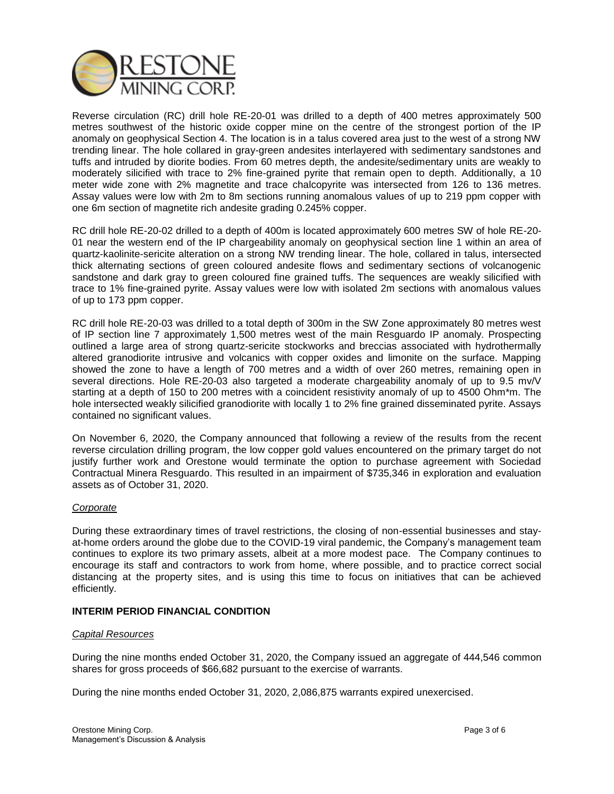

Reverse circulation (RC) drill hole RE-20-01 was drilled to a depth of 400 metres approximately 500 metres southwest of the historic oxide copper mine on the centre of the strongest portion of the IP anomaly on geophysical Section 4. The location is in a talus covered area just to the west of a strong NW trending linear. The hole collared in gray-green andesites interlayered with sedimentary sandstones and tuffs and intruded by diorite bodies. From 60 metres depth, the andesite/sedimentary units are weakly to moderately silicified with trace to 2% fine-grained pyrite that remain open to depth. Additionally, a 10 meter wide zone with 2% magnetite and trace chalcopyrite was intersected from 126 to 136 metres. Assay values were low with 2m to 8m sections running anomalous values of up to 219 ppm copper with one 6m section of magnetite rich andesite grading 0.245% copper.

RC drill hole RE-20-02 drilled to a depth of 400m is located approximately 600 metres SW of hole RE-20- 01 near the western end of the IP chargeability anomaly on geophysical section line 1 within an area of quartz-kaolinite-sericite alteration on a strong NW trending linear. The hole, collared in talus, intersected thick alternating sections of green coloured andesite flows and sedimentary sections of volcanogenic sandstone and dark gray to green coloured fine grained tuffs. The sequences are weakly silicified with trace to 1% fine-grained pyrite. Assay values were low with isolated 2m sections with anomalous values of up to 173 ppm copper.

RC drill hole RE-20-03 was drilled to a total depth of 300m in the SW Zone approximately 80 metres west of IP section line 7 approximately 1,500 metres west of the main Resguardo IP anomaly. Prospecting outlined a large area of strong quartz-sericite stockworks and breccias associated with hydrothermally altered granodiorite intrusive and volcanics with copper oxides and limonite on the surface. Mapping showed the zone to have a length of 700 metres and a width of over 260 metres, remaining open in several directions. Hole RE-20-03 also targeted a moderate chargeability anomaly of up to 9.5 mv/V starting at a depth of 150 to 200 metres with a coincident resistivity anomaly of up to 4500 Ohm\*m. The hole intersected weakly silicified granodiorite with locally 1 to 2% fine grained disseminated pyrite. Assays contained no significant values.

On November 6, 2020, the Company announced that following a review of the results from the recent reverse circulation drilling program, the low copper gold values encountered on the primary target do not justify further work and Orestone would terminate the option to purchase agreement with Sociedad Contractual Minera Resguardo. This resulted in an impairment of \$735,346 in exploration and evaluation assets as of October 31, 2020.

### *Corporate*

During these extraordinary times of travel restrictions, the closing of non-essential businesses and stayat-home orders around the globe due to the COVID-19 viral pandemic, the Company's management team continues to explore its two primary assets, albeit at a more modest pace. The Company continues to encourage its staff and contractors to work from home, where possible, and to practice correct social distancing at the property sites, and is using this time to focus on initiatives that can be achieved efficiently.

## **INTERIM PERIOD FINANCIAL CONDITION**

### *Capital Resources*

During the nine months ended October 31, 2020, the Company issued an aggregate of 444,546 common shares for gross proceeds of \$66,682 pursuant to the exercise of warrants.

During the nine months ended October 31, 2020, 2,086,875 warrants expired unexercised.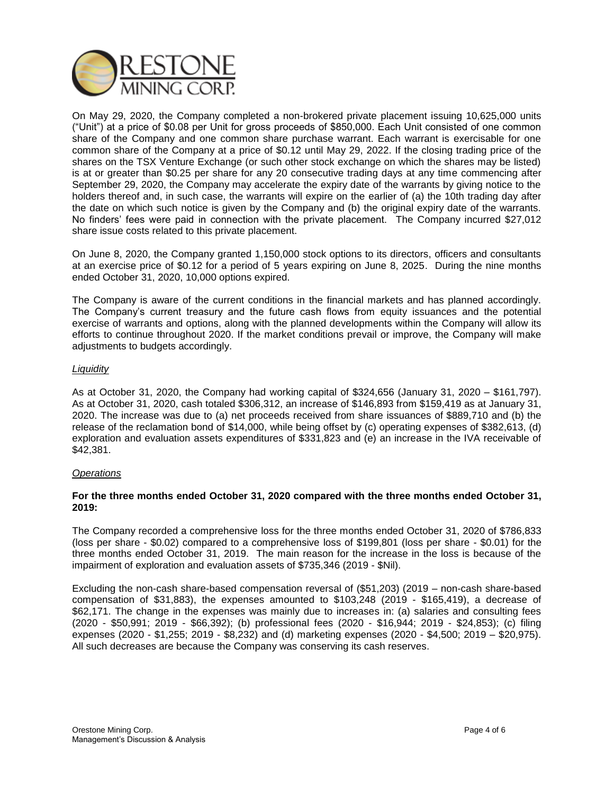

On May 29, 2020, the Company completed a non-brokered private placement issuing 10,625,000 units ("Unit") at a price of \$0.08 per Unit for gross proceeds of \$850,000. Each Unit consisted of one common share of the Company and one common share purchase warrant. Each warrant is exercisable for one common share of the Company at a price of \$0.12 until May 29, 2022. If the closing trading price of the shares on the TSX Venture Exchange (or such other stock exchange on which the shares may be listed) is at or greater than \$0.25 per share for any 20 consecutive trading days at any time commencing after September 29, 2020, the Company may accelerate the expiry date of the warrants by giving notice to the holders thereof and, in such case, the warrants will expire on the earlier of (a) the 10th trading day after the date on which such notice is given by the Company and (b) the original expiry date of the warrants. No finders' fees were paid in connection with the private placement. The Company incurred \$27,012 share issue costs related to this private placement.

On June 8, 2020, the Company granted 1,150,000 stock options to its directors, officers and consultants at an exercise price of \$0.12 for a period of 5 years expiring on June 8, 2025. During the nine months ended October 31, 2020, 10,000 options expired.

The Company is aware of the current conditions in the financial markets and has planned accordingly. The Company's current treasury and the future cash flows from equity issuances and the potential exercise of warrants and options, along with the planned developments within the Company will allow its efforts to continue throughout 2020. If the market conditions prevail or improve, the Company will make adjustments to budgets accordingly.

## *Liquidity*

As at October 31, 2020, the Company had working capital of \$324,656 (January 31, 2020 – \$161,797). As at October 31, 2020, cash totaled \$306,312, an increase of \$146,893 from \$159,419 as at January 31, 2020. The increase was due to (a) net proceeds received from share issuances of \$889,710 and (b) the release of the reclamation bond of \$14,000, while being offset by (c) operating expenses of \$382,613, (d) exploration and evaluation assets expenditures of \$331,823 and (e) an increase in the IVA receivable of \$42,381.

### *Operations*

## **For the three months ended October 31, 2020 compared with the three months ended October 31, 2019:**

The Company recorded a comprehensive loss for the three months ended October 31, 2020 of \$786,833 (loss per share - \$0.02) compared to a comprehensive loss of \$199,801 (loss per share - \$0.01) for the three months ended October 31, 2019. The main reason for the increase in the loss is because of the impairment of exploration and evaluation assets of \$735,346 (2019 - \$Nil).

Excluding the non-cash share-based compensation reversal of (\$51,203) (2019 – non-cash share-based compensation of \$31,883), the expenses amounted to \$103,248 (2019 - \$165,419), a decrease of \$62,171. The change in the expenses was mainly due to increases in: (a) salaries and consulting fees (2020 - \$50,991; 2019 - \$66,392); (b) professional fees (2020 - \$16,944; 2019 - \$24,853); (c) filing expenses (2020 - \$1,255; 2019 - \$8,232) and (d) marketing expenses (2020 - \$4,500; 2019 – \$20,975). All such decreases are because the Company was conserving its cash reserves.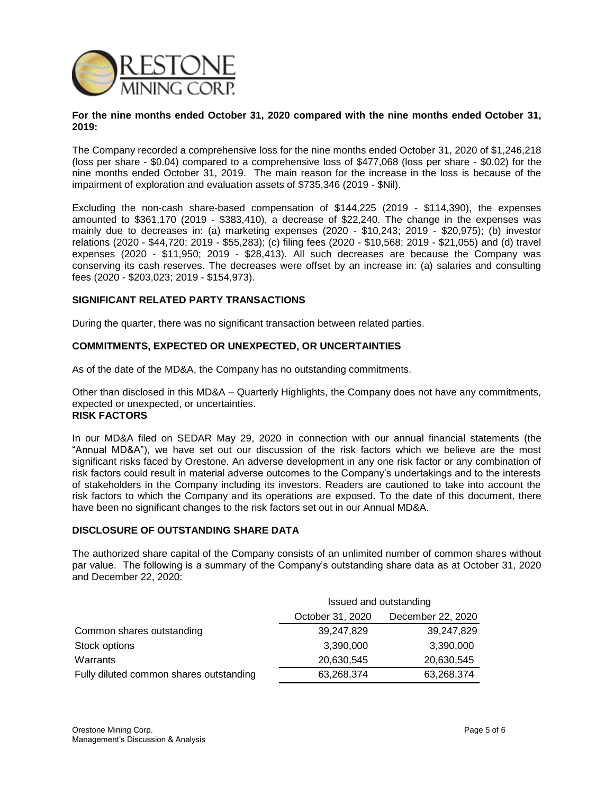

#### **For the nine months ended October 31, 2020 compared with the nine months ended October 31, 2019:**

The Company recorded a comprehensive loss for the nine months ended October 31, 2020 of \$1,246,218 (loss per share - \$0.04) compared to a comprehensive loss of \$477,068 (loss per share - \$0.02) for the nine months ended October 31, 2019. The main reason for the increase in the loss is because of the impairment of exploration and evaluation assets of \$735,346 (2019 - \$Nil).

Excluding the non-cash share-based compensation of \$144,225 (2019 - \$114,390), the expenses amounted to \$361,170 (2019 - \$383,410), a decrease of \$22,240. The change in the expenses was mainly due to decreases in: (a) marketing expenses (2020 - \$10,243; 2019 - \$20,975); (b) investor relations (2020 - \$44,720; 2019 - \$55,283); (c) filing fees (2020 - \$10,568; 2019 - \$21,055) and (d) travel expenses (2020 - \$11,950; 2019 - \$28,413). All such decreases are because the Company was conserving its cash reserves. The decreases were offset by an increase in: (a) salaries and consulting fees (2020 - \$203,023; 2019 - \$154,973).

## **SIGNIFICANT RELATED PARTY TRANSACTIONS**

During the quarter, there was no significant transaction between related parties.

## **COMMITMENTS, EXPECTED OR UNEXPECTED, OR UNCERTAINTIES**

As of the date of the MD&A, the Company has no outstanding commitments.

Other than disclosed in this MD&A – Quarterly Highlights, the Company does not have any commitments, expected or unexpected, or uncertainties. **RISK FACTORS**

In our MD&A filed on SEDAR May 29, 2020 in connection with our annual financial statements (the "Annual MD&A"), we have set out our discussion of the risk factors which we believe are the most significant risks faced by Orestone. An adverse development in any one risk factor or any combination of risk factors could result in material adverse outcomes to the Company's undertakings and to the interests of stakeholders in the Company including its investors. Readers are cautioned to take into account the risk factors to which the Company and its operations are exposed. To the date of this document, there have been no significant changes to the risk factors set out in our Annual MD&A.

### **DISCLOSURE OF OUTSTANDING SHARE DATA**

The authorized share capital of the Company consists of an unlimited number of common shares without par value. The following is a summary of the Company's outstanding share data as at October 31, 2020 and December 22, 2020:

|                                         | Issued and outstanding |                   |
|-----------------------------------------|------------------------|-------------------|
|                                         | October 31, 2020       | December 22, 2020 |
| Common shares outstanding               | 39,247,829             | 39,247,829        |
| Stock options                           | 3,390,000              | 3,390,000         |
| Warrants                                | 20,630,545             | 20,630,545        |
| Fully diluted common shares outstanding | 63,268,374             | 63,268,374        |